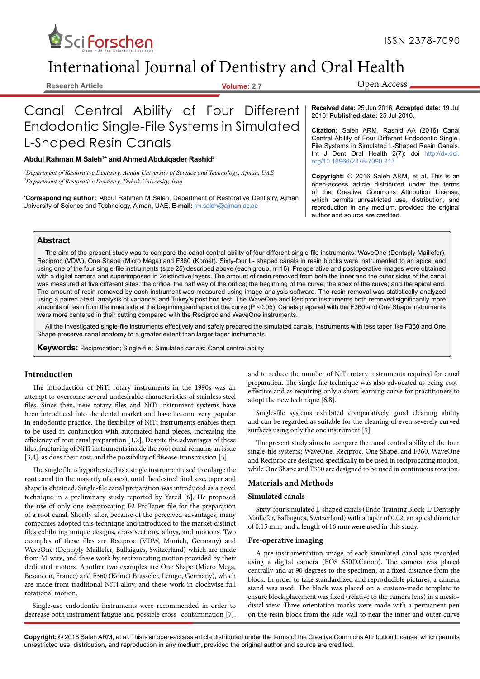

# International Journal of Dentistry and Oral Health

**Research Article Volume: 2.7**

Open Access

# Canal Central Ability of Four Different Endodontic Single-File Systems in Simulated L-Shaped Resin Canals

#### **Abdul Rahman M Saleh1 \* and Ahmed Abdulqader Rashid2**

*1 Department of Restorative Dentistry, Ajman University of Science and Technology, Ajman, UAE 2 Department of Restorative Dentistry, Duhok University, Iraq*

**\*Corresponding author:** Abdul Rahman M Saleh, Department of Restorative Dentistry, Ajman University of Science and Technology, Ajman, UAE, **E-mail:** rm.saleh@ajman.ac.ae

**Received date:** 25 Jun 2016; **Accepted date:** 19 Jul 2016; **Published date:** 25 Jul 2016.

**Citation:** Saleh ARM, Rashid AA (2016) Canal Central Ability of Four Different Endodontic Single-File Systems in Simulated L-Shaped Resin Canals. Int J Dent Oral Health [2\(](http://dx.doi.org/10.16966/2378-7090.132%0D)7): doi [http://dx.doi.](http://dx.doi.org/10.16966/2378-7090.213) [org/10.16966/2378-7090.213](http://dx.doi.org/10.16966/2378-7090.213)

**Copyright:** © 2016 Saleh ARM, et al. This is an open-access article distributed under the terms of the Creative Commons Attribution License, which permits unrestricted use, distribution, and reproduction in any medium, provided the original author and source are credited.

#### **Abstract**

The aim of the present study was to compare the canal central ability of four different single-file instruments: WaveOne (Dentsply Maillefer), Reciproc (VDW), One Shape (Micro Mega) and F360 (Komet). Sixty-four L- shaped canals in resin blocks were instrumented to an apical end using one of the four single-file instruments (size 25) described above (each group, n=16). Preoperative and postoperative images were obtained with a digital camera and superimposed in 2distinctive layers. The amount of resin removed from both the inner and the outer sides of the canal was measured at five different sites: the orifice; the half way of the orifice; the beginning of the curve; the apex of the curve; and the apical end. The amount of resin removed by each instrument was measured using image analysis software. The resin removal was statistically analyzed using a paired *t*-test, analysis of variance, and Tukey's post hoc test. The WaveOne and Reciproc instruments both removed significantly more amounts of resin from the inner side at the beginning and apex of the curve (P <0.05). Canals prepared with the F360 and One Shape instruments were more centered in their cutting compared with the Reciproc and WaveOne instruments.

All the investigated single-file instruments effectively and safely prepared the simulated canals. Instruments with less taper like F360 and One Shape preserve canal anatomy to a greater extent than larger taper instruments.

**Keywords:** Reciprocation; Single-file; Simulated canals; Canal central ability

### **Introduction**

The introduction of NiTi rotary instruments in the 1990s was an attempt to overcome several undesirable characteristics of stainless steel files. Since then, new rotary files and NiTi instrument systems have been introduced into the dental market and have become very popular in endodontic practice. The flexibility of NiTi instruments enables them to be used in conjunction with automated hand pieces, increasing the efficiency of root canal preparation [1,2]. Despite the advantages of these files, fracturing of NiTi instruments inside the root canal remains an issue [3,4], as does their cost, and the possibility of disease-transmission [5].

The single file is hypothesized as a single instrument used to enlarge the root canal (in the majority of cases), until the desired final size, taper and shape is obtained. Single-file canal preparation was introduced as a novel technique in a preliminary study reported by Yared [6]. He proposed the use of only one reciprocating F2 ProTaper file for the preparation of a root canal. Shortly after, because of the perceived advantages, many companies adopted this technique and introduced to the market distinct files exhibiting unique designs, cross sections, alloys, and motions. Two examples of these files are Reciproc (VDW, Munich, Germany) and WaveOne (Dentsply Maillefer, Ballaigues, Switzerland) which are made from M-wire, and these work by reciprocating motion provided by their dedicated motors. Another two examples are One Shape (Micro Mega, Besancon, France) and F360 (Komet Brasseler, Lemgo, Germany), which are made from traditional NiTi alloy, and these work in clockwise full rotational motion.

Single-use endodontic instruments were recommended in order to decrease both instrument fatigue and possible cross- contamination [7], and to reduce the number of NiTi rotary instruments required for canal preparation. The single-file technique was also advocated as being costeffective and as requiring only a short learning curve for practitioners to adopt the new technique [6,8].

Single-file systems exhibited comparatively good cleaning ability and can be regarded as suitable for the cleaning of even severely curved surfaces using only the one instrument [9].

The present study aims to compare the canal central ability of the four single-file systems: WaveOne, Reciproc, One Shape, and F360. WaveOne and Reciproc are designed specifically to be used in reciprocating motion, while One Shape and F360 are designed to be used in continuous rotation.

#### **Materials and Methods**

#### **Simulated canals**

Sixty-four simulated L-shaped canals (Endo Training Block-L; Dentsply Maillefer, Ballaigues, Switzerland) with a taper of 0.02, an apical diameter of 0.15 mm, and a length of 16 mm were used in this study.

#### **Pre-operative imaging**

A pre-instrumentation image of each simulated canal was recorded using a digital camera (EOS 650D.Canon). The camera was placed centrally and at 90 degrees to the specimen, at a fixed distance from the block. In order to take standardized and reproducible pictures, a camera stand was used. The block was placed on a custom-made template to ensure block placement was fixed (relative to the camera lens) in a mesiodistal view. Three orientation marks were made with a permanent pen on the resin block from the side wall to near the inner and outer curve

**Copyright:** © 2016 Saleh ARM, et al. This is an open-access article distributed under the terms of the Creative Commons Attribution License, which permits unrestricted use, distribution, and reproduction in any medium, provided the original author and source are credited.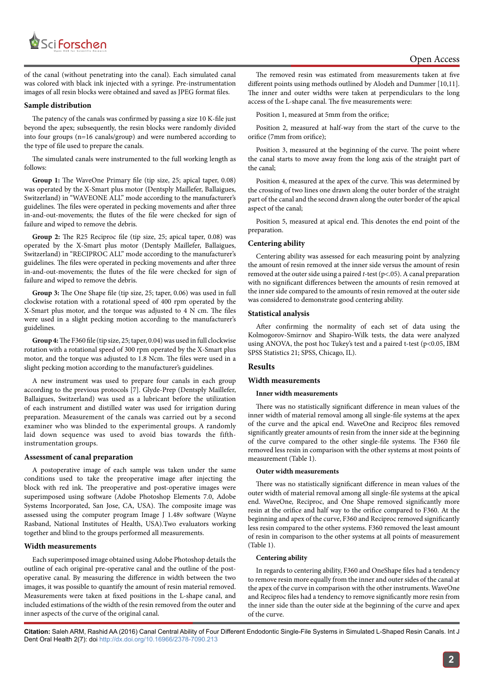

of the canal (without penetrating into the canal). Each simulated canal was colored with black ink injected with a syringe. Pre-instrumentation images of all resin blocks were obtained and saved as JPEG format files.

#### **Sample distribution**

The patency of the canals was confirmed by passing a size 10 K-file just beyond the apex; subsequently, the resin blocks were randomly divided into four groups (n=16 canals/group) and were numbered according to the type of file used to prepare the canals.

The simulated canals were instrumented to the full working length as follows:

**Group 1:** The WaveOne Primary file (tip size, 25; apical taper, 0.08) was operated by the X-Smart plus motor (Dentsply Maillefer, Ballaigues, Switzerland) in "WAVEONE ALL" mode according to the manufacturer's guidelines. The files were operated in pecking movements and after three in-and-out-movements; the flutes of the file were checked for sign of failure and wiped to remove the debris.

**Group 2:** The R25 Reciproc file (tip size, 25; apical taper, 0.08) was operated by the X-Smart plus motor (Dentsply Maillefer, Ballaigues, Switzerland) in "RECIPROC ALL" mode according to the manufacturer's guidelines. The files were operated in pecking movements and after three in-and-out-movements; the flutes of the file were checked for sign of failure and wiped to remove the debris.

**Group 3:** The One Shape file (tip size, 25; taper, 0.06) was used in full clockwise rotation with a rotational speed of 400 rpm operated by the X-Smart plus motor, and the torque was adjusted to 4 N cm. The files were used in a slight pecking motion according to the manufacturer's guidelines.

**Group 4:** The F360 file (tip size, 25; taper, 0.04) was used in full clockwise rotation with a rotational speed of 300 rpm operated by the X-Smart plus motor, and the torque was adjusted to 1.8 Ncm. The files were used in a slight pecking motion according to the manufacturer's guidelines.

A new instrument was used to prepare four canals in each group according to the previous protocols [7]. Glyde-Prep (Dentsply Maillefer, Ballaigues, Switzerland) was used as a lubricant before the utilization of each instrument and distilled water was used for irrigation during preparation. Measurement of the canals was carried out by a second examiner who was blinded to the experimental groups. A randomly laid down sequence was used to avoid bias towards the fifthinstrumentation groups.

#### **Assessment of canal preparation**

A postoperative image of each sample was taken under the same conditions used to take the preoperative image after injecting the block with red ink. The preoperative and post-operative images were superimposed using software (Adobe Photoshop Elements 7.0, Adobe Systems Incorporated, San Jose, CA, USA). The composite image was assessed using the computer program Image J 1.48v software (Wayne Rasband, National Institutes of Health, USA).Two evaluators working together and blind to the groups performed all measurements.

#### **Width measurements**

Each superimposed image obtained using Adobe Photoshop details the outline of each original pre-operative canal and the outline of the postoperative canal. By measuring the difference in width between the two images, it was possible to quantify the amount of resin material removed. Measurements were taken at fixed positions in the L-shape canal, and included estimations of the width of the resin removed from the outer and inner aspects of the curve of the original canal.

The removed resin was estimated from measurements taken at five different points using methods outlined by Alodeh and Dummer [10,11]. The inner and outer widths were taken at perpendiculars to the long access of the L-shape canal. The five measurements were:

Position 1, measured at 5mm from the orifice;

Position 2, measured at half-way from the start of the curve to the orifice (7mm from orifice);

Position 3, measured at the beginning of the curve. The point where the canal starts to move away from the long axis of the straight part of the canal;

Position 4, measured at the apex of the curve. This was determined by the crossing of two lines one drawn along the outer border of the straight part of the canal and the second drawn along the outer border of the apical aspect of the canal;

Position 5, measured at apical end. This denotes the end point of the preparation.

#### **Centering ability**

Centering ability was assessed for each measuring point by analyzing the amount of resin removed at the inner side versus the amount of resin removed at the outer side using a paired *t-*test (p<.05). A canal preparation with no significant differences between the amounts of resin removed at the inner side compared to the amounts of resin removed at the outer side was considered to demonstrate good centering ability.

#### **Statistical analysis**

After confirming the normality of each set of data using the Kolmogorov-Smirnov and Shapiro-Wilk tests, the data were analyzed using ANOVA, the post hoc Tukey's test and a paired t-test (p<0.05, IBM SPSS Statistics 21; SPSS, Chicago, IL).

#### **Results**

## **Width measurements**

#### **Inner width measurements**

There was no statistically significant difference in mean values of the inner width of material removal among all single-file systems at the apex of the curve and the apical end. WaveOne and Reciproc files removed significantly greater amounts of resin from the inner side at the beginning of the curve compared to the other single-file systems. The F360 file removed less resin in comparison with the other systems at most points of measurement (Table 1).

#### **Outer width measurements**

There was no statistically significant difference in mean values of the outer width of material removal among all single-file systems at the apical end. WaveOne, Reciproc, and One Shape removed significantly more resin at the orifice and half way to the orifice compared to F360. At the beginning and apex of the curve, F360 and Reciproc removed significantly less resin compared to the other systems. F360 removed the least amount of resin in comparison to the other systems at all points of measurement (Table 1).

#### **Centering ability**

In regards to centering ability, F360 and OneShape files had a tendency to remove resin more equally from the inner and outer sides of the canal at the apex of the curve in comparison with the other instruments. WaveOne and Reciproc files had a tendency to remove significantly more resin from the inner side than the outer side at the beginning of the curve and apex of the curve.

**Citation:** Saleh ARM, Rashid AA (2016) Canal Central Ability of Four Different Endodontic Single-File Systems in Simulated L-Shaped Resin Canals. Int J Dent Oral Health 2(7): doi<http://dx.doi.org/10.16966/2378-7090.213>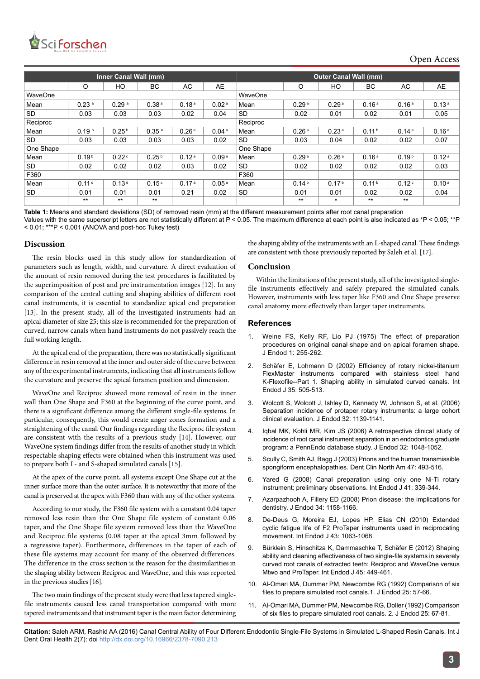

| Inner Canal Wall (mm) |                   |                   |                   |                   |                   | <b>Outer Canal Wall (mm)</b> |                   |                   |                   |                   |                   |
|-----------------------|-------------------|-------------------|-------------------|-------------------|-------------------|------------------------------|-------------------|-------------------|-------------------|-------------------|-------------------|
|                       | O                 | HO                | <b>BC</b>         | AC                | AE                |                              | O                 | HO                | <b>BC</b>         | AC                | AE                |
| WaveOne               |                   |                   |                   |                   |                   | WaveOne                      |                   |                   |                   |                   |                   |
| Mean                  | 0.23 <sup>a</sup> | 0.29 <sup>a</sup> | 0.38 <sup>a</sup> | 0.18 <sup>a</sup> | 0.02 <sup>a</sup> | Mean                         | 0.29 <sup>a</sup> | 0.29 <sup>a</sup> | 0.16 <sup>a</sup> | 0.16 <sup>a</sup> | 0.13 <sup>a</sup> |
| <b>SD</b>             | 0.03              | 0.03              | 0.03              | 0.02              | 0.04              | SD                           | 0.02              | 0.01              | 0.02              | 0.01              | 0.05              |
| Reciproc              |                   |                   |                   |                   |                   | Reciproc                     |                   |                   |                   |                   |                   |
| Mean                  | 0.19 <sup>b</sup> | 0.25 <sup>b</sup> | 0.35 <sup>a</sup> | 0.26 <sup>a</sup> | 0.04 <sup>a</sup> | Mean                         | 0.26 <sup>a</sup> | 0.23 <sup>a</sup> | 0.11 <sup>b</sup> | 0.14 <sup>a</sup> | 0.16 <sup>a</sup> |
| <b>SD</b>             | 0.03              | 0.03              | 0.03              | 0.03              | 0.02              | SD                           | 0.03              | 0.04              | 0.02              | 0.02              | 0.07              |
| One Shape             |                   |                   |                   |                   |                   | One Shape                    |                   |                   |                   |                   |                   |
| Mean                  | 0.19 <sup>b</sup> | 0.22 <sup>c</sup> | 0.25 <sup>b</sup> | 0.12 <sup>a</sup> | 0.09 <sup>a</sup> | Mean                         | 0.29 <sup>a</sup> | 0.26 <sup>a</sup> | 0.16 <sup>a</sup> | 0.19 <sup>b</sup> | 0.12 <sup>a</sup> |
| <b>SD</b>             | 0.02              | 0.02              | 0.02              | 0.03              | 0.02              | SD                           | 0.02              | 0.02              | 0.02              | 0.02              | 0.03              |
| F360                  |                   |                   |                   |                   |                   | F360                         |                   |                   |                   |                   |                   |
| Mean                  | 0.11c             | 0.13 <sup>d</sup> | 0.15 <sup>c</sup> | 0.17 <sup>a</sup> | 0.05 <sup>a</sup> | Mean                         | 0.14 <sup>b</sup> | 0.17 <sup>b</sup> | 0.11 <sup>b</sup> | 0.12 <sup>c</sup> | 0.10 <sup>a</sup> |
| <b>SD</b>             | 0.01              | 0.01              | 0.01              | 0.21              | 0.02              | <b>SD</b>                    | 0.01              | 0.01              | 0.02              | 0.02              | 0.04              |
|                       | $***$             | $**$              | $***$             |                   |                   |                              | $***$             | $\star$           | $***$             | $***$             |                   |

**Table 1:** Means and standard deviations (SD) of removed resin (mm) at the different measurement points after root canal preparation Values with the same superscript letters are not statistically different at P < 0.05. The maximum difference at each point is also indicated as \*P < 0.05; \*\*P < 0.01; \*\*\*P < 0.001 (ANOVA and post-hoc Tukey test)

#### **Discussion**

The resin blocks used in this study allow for standardization of parameters such as length, width, and curvature. A direct evaluation of the amount of resin removed during the test procedures is facilitated by the superimposition of post and pre instrumentation images [12]. In any comparison of the central cutting and shaping abilities of different root canal instruments, it is essential to standardize apical end preparation [13]. In the present study, all of the investigated instruments had an apical diameter of size 25; this size is recommended for the preparation of curved, narrow canals when hand instruments do not passively reach the full working length.

At the apical end of the preparation, there was no statistically significant difference in resin removal at the inner and outer side of the curve between any of the experimental instruments, indicating that all instruments follow the curvature and preserve the apical foramen position and dimension.

WaveOne and Reciproc showed more removal of resin in the inner wall than One Shape and F360 at the beginning of the curve point, and there is a significant difference among the different single-file systems. In particular, consequently, this would create anger zones formation and a straightening of the canal. Our findings regarding the Reciproc file system are consistent with the results of a previous study [14]. However, our WaveOne system findings differ from the results of another study in which respectable shaping effects were obtained when this instrument was used to prepare both L- and S-shaped simulated canals [15].

At the apex of the curve point, all systems except One Shape cut at the inner surface more than the outer surface. It is noteworthy that more of the canal is preserved at the apex with F360 than with any of the other systems.

According to our study, the F360 file system with a constant 0.04 taper removed less resin than the One Shape file system of constant 0.06 taper, and the One Shape file system removed less than the WaveOne and Reciproc file systems (0.08 taper at the apical 3mm followed by a regressive taper). Furthermore, differences in the taper of each of these file systems may account for many of the observed differences. The difference in the cross section is the reason for the dissimilarities in the shaping ability between Reciproc and WaveOne, and this was reported in the previous studies [16].

The two main findings of the present study were that less tapered singlefile instruments caused less canal transportation compared with more tapered instruments and that instrument taper is the main factor determining the shaping ability of the instruments with an L-shaped canal. These findings are consistent with those previously reported by Saleh et al. [17].

#### **Conclusion**

Within the limitations of the present study, all of the investigated singlefile instruments effectively and safely prepared the simulated canals. However, instruments with less taper like F360 and One Shape preserve canal anatomy more effectively than larger taper instruments.

#### **References**

- 1. [Weine FS, Kelly RF, Lio PJ \(1975\) The effect of preparation](http://www.ncbi.nlm.nih.gov/pubmed/10697472) [procedures on original canal shape and on apical foramen shape.](http://www.ncbi.nlm.nih.gov/pubmed/10697472) [J Endod 1: 255-262.](http://www.ncbi.nlm.nih.gov/pubmed/10697472)
- 2. [Schäfer E, Lohmann D \(2002\) Efficiency of rotary nickel-titanium](http://www.ncbi.nlm.nih.gov/pubmed/12190907) [FlexMaster instruments compared with stainless steel hand](http://www.ncbi.nlm.nih.gov/pubmed/12190907) [K-Flexofile--Part 1. Shaping ability in simulated curved canals. Int](http://www.ncbi.nlm.nih.gov/pubmed/12190907) [Endod J 35: 505-513.](http://www.ncbi.nlm.nih.gov/pubmed/12190907)
- 3. [Wolcott S, Wolcott J, Ishley D, Kennedy W, Johnson S, et al. \(2006\)](http://www.ncbi.nlm.nih.gov/pubmed/17174668) [Separation incidence of protaper rotary instruments: a large cohort](http://www.ncbi.nlm.nih.gov/pubmed/17174668) [clinical evaluation. J Endod 32: 1139-1141.](http://www.ncbi.nlm.nih.gov/pubmed/17174668)
- 4. [Iqbal MK, Kohli MR, Kim JS \(2006\) A retrospective clinical study](http://www.ncbi.nlm.nih.gov/pubmed/17055904) of [incidence of root canal instrument separation in an endodontics graduate](http://www.ncbi.nlm.nih.gov/pubmed/17055904) [program: a PennEndo database study. J Endod 32: 1048-1052.](http://www.ncbi.nlm.nih.gov/pubmed/17055904)
- 5. [Scully C, Smith AJ, Bagg J \(2003\) Prions and the human transmissible](http://www.ncbi.nlm.nih.gov/pubmed/12848461) [spongiform encephalopathies. Dent Clin North Am 47: 493-516.](http://www.ncbi.nlm.nih.gov/pubmed/12848461)
- 6. [Yared G \(2008\) Canal preparation using only one Ni-Ti rotary](http://www.ncbi.nlm.nih.gov/pubmed/18081803) [instrument: preliminary observations. Int Endod J 41: 339-344.](http://www.ncbi.nlm.nih.gov/pubmed/18081803)
- 7. [Azarpazhooh A, Fillery ED \(2008\) Prion disease: the implications for](http://www.ncbi.nlm.nih.gov/pubmed/18793912) [dentistry. J Endod 34: 1158-1166.](http://www.ncbi.nlm.nih.gov/pubmed/18793912)
- 8. [De-Deus G, Moreira EJ, Lopes HP, Elias CN \(2010\) Extended](http://www.ncbi.nlm.nih.gov/pubmed/21080616) [cyclic fatigue life of F2 ProTaper instruments used in reciprocating](http://www.ncbi.nlm.nih.gov/pubmed/21080616) [movement. Int Endod J 43: 1063-1068.](http://www.ncbi.nlm.nih.gov/pubmed/21080616)
- 9. [Bürklein S, Hinschitza K, Dammaschke T, Schäfer E \(2012\) Shaping](http://www.ncbi.nlm.nih.gov/pubmed/22188401) [ability and cleaning effectiveness of two single-file systems in severely](http://www.ncbi.nlm.nih.gov/pubmed/22188401) [curved root canals of extracted teeth: Reciproc and WaveOne versus](http://www.ncbi.nlm.nih.gov/pubmed/22188401) [Mtwo and ProTaper. Int Endod J 45: 449-461.](http://www.ncbi.nlm.nih.gov/pubmed/22188401)
- 10. [Al-Omari MA, Dummer PM, Newcombe RG \(1992\) Comparison of six](http://www.ncbi.nlm.nih.gov/pubmed/1399054) [files to prepare simulated root canals.1. J Endod 25: 57-66.](http://www.ncbi.nlm.nih.gov/pubmed/1399054)
- 11. [Al-Omari MA, Dummer PM, Newcombe RG, Doller \(1992\) Comparison](http://www.ncbi.nlm.nih.gov/pubmed/1399055) [of six files to prepare simulated root canals. 2. J Endod 25: 67-81.](http://www.ncbi.nlm.nih.gov/pubmed/1399055)

**Citation:** Saleh ARM, Rashid AA (2016) Canal Central Ability of Four Different Endodontic Single-File Systems in Simulated L-Shaped Resin Canals. Int J Dent Oral Health 2(7): doi<http://dx.doi.org/10.16966/2378-7090.213>